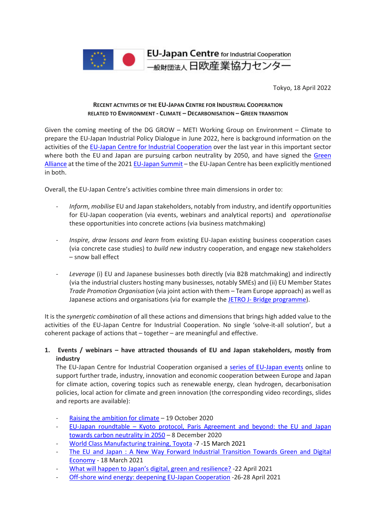

Tokyo, 18 April 2022

### **RECENT ACTIVITIES OF THE EU-JAPAN CENTRE FOR INDUSTRIAL COOPERATION RELATED TO ENVIRONMENT - CLIMATE – DECARBONISATION – GREEN TRANSITION**

Given the coming meeting of the DG GROW – METI Working Group on Environment – Climate to prepare the EU-Japan Industrial Policy Dialogue in June 2022, here is background information on the activities of the EU-Japan [Centre for Industrial Cooperation](https://www.eu-japan.eu/) over the last year in this important sector where both the EU and Japan are pursuing carbon neutrality by 2050, and have signed the [Green](https://www.consilium.europa.eu/media/49932/eu-japan-green-alliance-may-2021.pdf?utm_source=dsms-auto&utm_medium=email&utm_campaign=EU-Japan+Green+Alliance) [Alliance](https://www.consilium.europa.eu/media/49932/eu-japan-green-alliance-may-2021.pdf?utm_source=dsms-auto&utm_medium=email&utm_campaign=EU-Japan+Green+Alliance) at the time of the 2021 [EU-Japan](https://www.consilium.europa.eu/media/49922/eu-japan-summit-may-2021-statement.pdf) Summit – the EU-Japan Centre has been explicitly mentioned in both.

Overall, the EU-Japan Centre's activities combine three main dimensions in order to:

- *Inform, mobilise* EU and Japan stakeholders, notably from industry, and identify opportunities for EU-Japan cooperation (via events, webinars and analytical reports) and *operationalise* these opportunities into concrete actions (via business matchmaking)
- *Inspire, draw lessons and learn* from existing EU-Japan existing business cooperation cases (via concrete case studies) to *build new* industry cooperation, and engage new stakeholders – snow ball effect
- *Leverage* (i) EU and Japanese businesses both directly (via B2B matchmaking) and indirectly (via the industrial clusters hosting many businesses, notably SMEs) and (ii) EU Member States *Trade Promotion Organisation* (via joint action with them – Team Europe approach) as well as Japanese actions and organisations (via for example the JETRO J- [Bridge programme\)](https://www.jetro.go.jp/en/j-bridge.html).

It is the *synergetic combination* of all these actions and dimensions that brings high added value to the activities of the EU-Japan Centre for Industrial Cooperation. No single 'solve-it-all solution', but a coherent package of actions that – together – are meaningful and effective.

# **1. Events / webinars – have attracted thousands of EU and Japan stakeholders, mostly from industry**

The EU-Japan Centre for Industrial Cooperation organised a series of [EU-Japan](https://www.eu-japan.eu/spipa-project-japan) events online to support further trade, industry, innovation and economic cooperation between Europe and Japan for climate action, covering topics such as renewable energy, clean hydrogen, decarbonisation policies, local action for climate and green innovation (the corresponding video recordings, slides and reports are available):

- Raising the [ambition](https://www.eu-japan.eu/events/eu-japan-webinar-2020-raising-ambition-climate) for climate 19 October 2020
- EU-Japan roundtable Kyoto protocol, Paris [Agreement](https://www.eu-japan.eu/events/eu-japan-roundtable-kyoto-protocol-paris-agreement-and-beyond-eu-and-japan-towards-carbon) and beyond: the EU and Japan towards carbon [neutrality](https://www.eu-japan.eu/events/eu-japan-roundtable-kyoto-protocol-paris-agreement-and-beyond-eu-and-japan-towards-carbon) in 2050 – 8 December 2020
- [World Class Manufacturing training, Toyota](https://www.eu-japan.eu/sites/default/files/imce/TOR_WCM_June_Nov_2021.docx) -7 -15 March 2021
- The EU and Japan : A New Way Forward Industrial [Transition](https://www.eu-japan.eu/events/eu-and-japan-new-way-forward-industrial-transition-towards-green-and-digital-economy) Towards Green and Digital [Economy](https://www.eu-japan.eu/events/eu-and-japan-new-way-forward-industrial-transition-towards-green-and-digital-economy) - 18 March 2021
- What will happen to Japan's digital, green and [resilience?](https://www.eu-japan.eu/sites/default/files/imce/2021.4.22%E3%82%A6%E3%82%A8%E3%83%93%E3%83%8A%E3%83%BC%E3%80%80%E8%AC%9B%E6%BC%94%E8%A6%81%E6%97%A8%E3%80%80.pdf) -22 April 2021
- Off-shore wind energy: deepening EU-Japan [Cooperation](https://www.eu-japan.eu/events/offshore-wind-energy-deepening-eu-japan-cooperation-online-workshop) -26-28 April 2021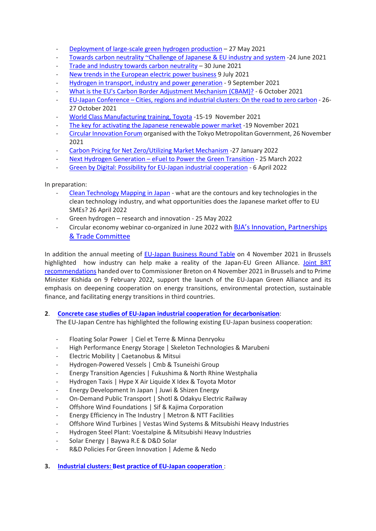- [Deployment](https://www.eu-japan.eu/events/deployment-large-scale-green-hydrogen-production-eu-japan-online-workshop) of large-scale green hydrogen production 27 May 2021
- [Towards carbon neutrality ~Challenge of Japanese & EU industry and system](https://www.eu-japan.eu/events/towards-carbon-neutrality-challenge-japanese-eu-industry-and-system) -24 June 2021
- Trade and Industry towards carbon [neutrality](https://www.eu-japan.eu/events/trade-industry-towards-carbon-neutrality-eu-japan-online-conference)  $-$  30 June 2021
- [New trends in the European electric power business](https://www.eu-japan.eu/events/new-trends-european-electric-power-business-suggestions-japan) 9 July 2021
- Hydrogen in transport, industry and power [generation](https://www.eu-japan.eu/events/hydrogen-transport-industry-and-power-generation-eu-japan-online-workshop) 9 September 2021
- What is the EU's Carbon Border [Adjustment](https://www.eu-japan.eu/events/what-eus-carbon-border-adjustment-mechanism-cbam) Mechanism (CBAM)? 6 October 2021
- EU-Japan [Conference](https://www.eu-japan.eu/events/eu-japan-conference-cities-regions-clusters-road-zero-carbon) Cities, regions and industrial clusters: On the road to zero carbon 26- 27 October 2021
- World Class Manufacturing training, Toyota -15-19 November 2021
- The key for activating the Japanese [renewable](https://www.eu-japan.eu/events/key-activating-japanese-renewable-power-market-learn-efforts-european-us-companies) power market -19 November 2021
- Circular [Innovation](https://www.youtube.com/watch?v=cms3zhRAQGs) Forum organised with the Tokyo Metropolitan Government, 26 November 2021
- Carbon Pricing for Net [Zero/Utilizing](https://www.eu-japan.eu/events/carbon-pricing-net-zeroutilizing-market-mechanism) Market Mechanism -27 January 2022
- Next Hydrogen [Generation](https://www.eu-japan.eu/events/next-hydrogen-generation-efuel-power-green-transition) eFuel to Power the Green Transition 25 March 2022
- Green by Digital: Possibility for EU-Japan industrial [cooperation](https://www.eu-japan.eu/events/green-x-digital-possibility-eu-japan-industrial-cooperation) 6 April 2022

In preparation:

- Clean [Technology](https://www.eubusinessinjapan.eu/library/event/about-japan-webinar-series-193-clean-technology-mapping-japan) Mapping in Japan what are the contours and key technologies in the clean technology industry, and what opportunities does the Japanese market offer to EU SMEs? 26 April 2022
- Green hydrogen research and innovation 25 May 2022
- Circular economy webinar co-organized in June 2022 with [BJA's Innovation, Partnerships](https://www.bja.be/en/organisation/ipt-committee)  [& Trade Committee](https://www.bja.be/en/organisation/ipt-committee)

In addition the annual meeting of [EU-Japan Business Round Table](https://www.eu-japan-brt.eu/) on 4 November 2021 in Brussels highlighted how industry can help make a reality of the Japan-EU Green Alliance. [Joint BRT](https://www.eu-japan-brt.eu/sites/eu-japan-brt.eu/files/pastmeetings/2021/brt2021_part1_EN_final.pdf)  [recommendations](https://www.eu-japan-brt.eu/sites/eu-japan-brt.eu/files/pastmeetings/2021/brt2021_part1_EN_final.pdf) handed over to Commissioner Breton on 4 November 2021 in Brussels and to Prime Minister Kishida on 9 February 2022, support the launch of the EU-Japan Green Alliance and its emphasis on deepening cooperation on energy transitions, environmental protection, sustainable finance, and facilitating energy transitions in third countries.

# **2**. **Concrete case studies of EU-Japan industrial cooperation for [decarbonisation](https://www.eu-japan.eu/climate)**:

The EU-Japan Centre has highlighted the following existing EU-Japan business cooperation:

- Floating Solar Power | Ciel et Terre & Minna Denryoku
- High Performance Energy Storage | Skeleton Technologies & Marubeni
- Electric Mobility | Caetanobus & Mitsui
- Hydrogen-Powered Vessels | Cmb & Tsuneishi Group
- Energy Transition Agencies | Fukushima & North Rhine Westphalia
- Hydrogen Taxis | Hype X Air Liquide X Idex & Toyota Motor
- Energy Development In Japan | Juwi & Shizen Energy
- On-Demand Public Transport | Shotl & Odakyu Electric Railway
- Offshore Wind Foundations | Sif & Kajima Corporation
- Energy Efficiency in The Industry | Metron & NTT Facilities
- Offshore Wind Turbines | Vestas Wind Systems & Mitsubishi Heavy Industries
- Hydrogen Steel Plant: Voestalpine & Mitsubishi Heavy Industries
- Solar Energy | Baywa R.E & D&D Solar
- R&D Policies For Green Innovation | Ademe & Nedo
- **3. Industrial clusters: Best practice of EU-Japan [cooperation](https://www.ejrc-helpdesk.eu/best-practices5de790d2)** :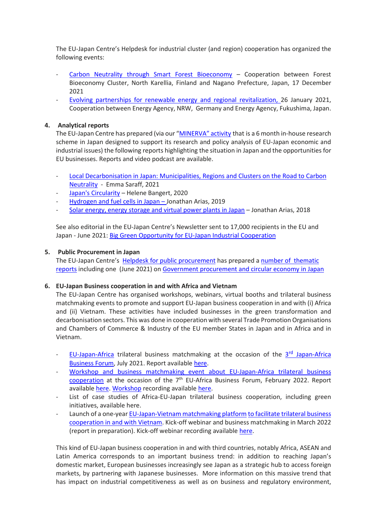The EU-Japan Centre's Helpdesk for industrial cluster (and region) cooperation has organized the following events:

- Carbon Neutrality through Smart Forest [Bioeconomy](https://www.ejrc-helpdesk.eu/best-practices5de790d2#Webinar6) Cooperation between Forest Bioeconomy Cluster, North Karellia, Finland and Nagano Prefecture, Japan, 17 December 2021
- Evolving partnerships for renewable energy and regional [revitalization,](https://www.ejrc-helpdesk.eu/best-practices5de790d2#Webinar2) 26 January 2021, Cooperation between Energy Agency, NRW, Germany and Energy Agency, Fukushima, Japan.

### **4. Analytical reports**

The EU-Japan Centre has prepared (via our ["MINERVA"](https://www.eu-japan.eu/minerva_programme) activity that is a 6 month in-house research scheme in Japan designed to support its research and policy analysis of EU-Japan economic and industrial issues) the following reports highlighting the situation in Japan and the opportunities for EU businesses. Reports and video podcast are available.

- Local [Decarbonisation](https://www.eu-japan.eu/sites/default/files/publications/docs/Emma%20Saraff%20report.pdf) in Japan: Municipalities, Regions and Clusters on the Road to Carbon [Neutrality](https://www.eu-japan.eu/sites/default/files/publications/docs/Emma%20Saraff%20report.pdf) - Emma Saraff, 2021
- Japan's [Circularity](https://www.eu-japan.eu/publications/japans-circularity) Helene Bangert, 2020
- [Hydrogen](https://www.eu-japan.eu/sites/default/files/publications/docs/hydrogen_and_fuel_cells_in_japan.pdf) and fuel cells in Japan Jonathan Arias, 2019
- Solar [energy,](https://www.eu-japan.eu/publications/solar-energy-energy-storage-and-virtual-power-plants-japan-minerva-fellowship) energy storage and virtual power plants in Japan Jonathan Arias, 2018

See also editorial in the EU-Japan Centre's Newsletter sent to 17,000 recipients in the EU and Japan - June 2021: Big Green Opportunity for EU-Japan Industrial [Cooperation](https://www.eu-japan.eu/june-2021-newsletter-2-vol-19)

### **5. Public Procurement in Japan**

The EU-Japan Centre's Helpdesk for public [procurement](https://www.eu-japan.eu/japan-tax-public-procurement-helpdesk#:%7E:text=The%20JTPP%20Helpdesk%20aims%20to,might%20impede%20your%20business%20activities.) has prepared a number of [thematic](https://www.eu-japan.eu/government-procurement-thematic-reports) [reports](https://www.eu-japan.eu/government-procurement-thematic-reports) including one (June 2021) on Government [procurement](https://www.eu-japan.eu/government-procurement-circular-economy) and circular economy in Japan

#### **6. EU-Japan Business cooperation in and with Africa and Vietnam**

The EU-Japan Centre has organised workshops, webinars, virtual booths and trilateral business matchmaking events to promote and support EU-Japan business cooperation in and with (i) Africa and (ii) Vietnam. These activities have included businesses in the green transformation and decarbonisation sectors. This was done in cooperation with several Trade Promotion Organisations and Chambers of Commerce & Industry of the EU member States in Japan and in Africa and in Vietnam.

- EU-[Japan-Africa](https://www.jabf2021.com/en/index.html) trilateral business matchmaking at the occasion of the 3<sup>rd</sup> Japan-Africa [Business](https://www.jabf2021.com/en/index.html) Forum, July 2021. Report available [here.](https://www.eu-japan.eu/sites/default/files/imce/reports/een/jabf-2021.pdf)
- Workshop and business [matchmaking](https://eu-japan-africa-2022.b2match.io/) event about EU-Japan-Africa trilateral business cooperation at the occasion of the 7<sup>th</sup> EU-Africa Business Forum, February 2022. Report available [here.](https://www.eu-japan.eu/sites/default/files/imce/EJP3A/EABF2022_Event_Report.pdf) Workshop recording available [here.](https://www.eu-japan.eu/publications/eabf-2022-workshop-eu-japan-business-cooperation-and-africa-video)
- List of case studies of Africa-EU-Japan trilateral business cooperation, including green initiatives, available here.
- Launch of a one-year [EU-Japan-Vietnam](https://eu-japan-vietnam-2022.b2match.io/) matchmaking platform to facilitate trilateral business cooperation in and with Vietnam. Kick-off webinar and business matchmaking in March 2022 (report in preparation). Kick-off webinar recording available [here.](https://www.eu-japan.eu/videos/webinar-EU-Japan-Business-Matchmaking-Vietnam-070322.mp4)

This kind of EU-Japan business cooperation in and with third countries, notably Africa, ASEAN and Latin America corresponds to an important business trend: in addition to reaching Japan's domestic market, European businesses increasingly see Japan as a strategic hub to access foreign markets, by partnering with Japanese businesses. More information on this massive trend that has impact on industrial competitiveness as well as on business and regulatory environment,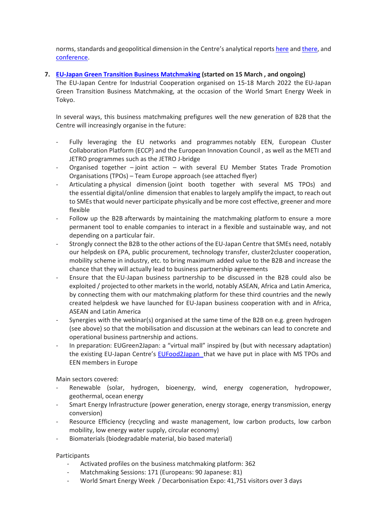norms, standards and geopolitical dimension in the Centre's analytical reports [here](https://www.eu-japan.eu/publications/eu-japan-business-cooperation-third-markets-focus-digital-economy) and [there,](https://www.eu-japan.eu/publications/analysis-eu-japan-business-cooperation-third-countries) and [conference.](https://www.eu-japan.eu/events/eu-japan-business-collaborations-third-markets)

## **7. EU-Japan Green Transition Business [Matchmaking](https://eu-japan-green-transition-2022.b2match.io/) (started on 15 March , and ongoing)**

The EU-Japan Centre for Industrial Cooperation organised on 15-18 March 2022 the EU-Japan Green Transition Business Matchmaking, at the occasion of the World Smart Energy Week in Tokyo.

In several ways, this business matchmaking prefigures well the new generation of B2B that the Centre will increasingly organise in the future:

- Fully leveraging the EU networks and programmes notably EEN, European Cluster Collaboration Platform (ECCP) and the European Innovation Council , as well as the METI and JETRO programmes such as the JETRO J-bridge
- Organised together  $-$  joint action  $-$  with several EU Member States Trade Promotion Organisations (TPOs) – Team Europe approach (see attached flyer)
- Articulating a physical dimension (joint booth together with several MS TPOs) and the essential digital/online dimension that enablesto largely amplify the impact, to reach out to SMEs that would never participate physically and be more cost effective, greener and more flexible
- Follow up the B2B afterwards by maintaining the matchmaking platform to ensure a more permanent tool to enable companies to interact in a flexible and sustainable way, and not depending on a particular fair.
- Strongly connect the B2B to the other actions of the EU-Japan Centre that SMEs need, notably our helpdesk on EPA, public procurement, technology transfer, cluster2cluster cooperation, mobility scheme in industry, etc. to bring maximum added value to the B2B and increase the chance that they will actually lead to business partnership agreements
- Ensure that the EU-Japan business partnership to be discussed in the B2B could also be exploited / projected to other markets in the world, notably ASEAN, Africa and Latin America, by connecting them with our matchmaking platform for these third countries and the newly created helpdesk we have launched for EU-Japan business cooperation with and in Africa, ASEAN and Latin America
- Synergies with the webinar(s) organised at the same time of the B2B on e.g. green hydrogen (see above) so that the mobilisation and discussion at the webinars can lead to concrete and operational business partnership and actions.
- In preparation: EUGreen2Japan: a "virtual mall" inspired by (but with necessary adaptation) the existing EU-Japan Centre's [EUFood2Japan](https://www.eufood2japan.eu/en) that we have put in place with MS TPOs and EEN members in Europe

Main sectors covered:

- Renewable (solar, hydrogen, bioenergy, wind, energy cogeneration, hydropower, geothermal, ocean energy
- Smart Energy Infrastructure (power generation, energy storage, energy transmission, energy conversion)
- Resource Efficiency (recycling and waste management, low carbon products, low carbon mobility, low energy water supply, circular economy)
- Biomaterials (biodegradable material, bio based material)

#### Participants

- Activated profiles on the business matchmaking platform: 362
- Matchmaking Sessions: 171 (Europeans: 90 Japanese: 81)
- World Smart Energy Week / Decarbonisation Expo: 41,751 visitors over 3 days